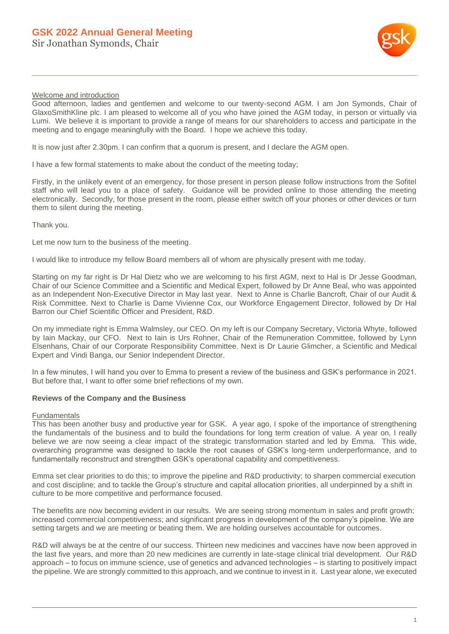

## Welcome and introduction

Good afternoon, ladies and gentlemen and welcome to our twenty-second AGM. I am Jon Symonds, Chair of GlaxoSmithKline plc. I am pleased to welcome all of you who have joined the AGM today, in person or virtually via Lumi. We believe it is important to provide a range of means for our shareholders to access and participate in the meeting and to engage meaningfully with the Board. I hope we achieve this today.

It is now just after 2.30pm. I can confirm that a quorum is present, and I declare the AGM open.

I have a few formal statements to make about the conduct of the meeting today;

Firstly, in the unlikely event of an emergency, for those present in person please follow instructions from the Sofitel staff who will lead you to a place of safety. Guidance will be provided online to those attending the meeting electronically. Secondly, for those present in the room, please either switch off your phones or other devices or turn them to silent during the meeting.

Thank you.

Let me now turn to the business of the meeting.

I would like to introduce my fellow Board members all of whom are physically present with me today.

Starting on my far right is Dr Hal Dietz who we are welcoming to his first AGM, next to Hal is Dr Jesse Goodman, Chair of our Science Committee and a Scientific and Medical Expert, followed by Dr Anne Beal, who was appointed as an Independent Non-Executive Director in May last year. Next to Anne is Charlie Bancroft, Chair of our Audit & Risk Committee. Next to Charlie is Dame Vivienne Cox, our Workforce Engagement Director, followed by Dr Hal Barron our Chief Scientific Officer and President, R&D.

On my immediate right is Emma Walmsley, our CEO. On my left is our Company Secretary, Victoria Whyte, followed by Iain Mackay, our CFO. Next to Iain is Urs Rohner, Chair of the Remuneration Committee, followed by Lynn Elsenhans, Chair of our Corporate Responsibility Committee. Next is Dr Laurie Glimcher, a Scientific and Medical Expert and Vindi Banga, our Senior Independent Director.

In a few minutes, I will hand you over to Emma to present a review of the business and GSK's performance in 2021. But before that, I want to offer some brief reflections of my own.

# **Reviews of the Company and the Business**

#### Fundamentals

This has been another busy and productive year for GSK. A year ago, I spoke of the importance of strengthening the fundamentals of the business and to build the foundations for long term creation of value. A year on, I really believe we are now seeing a clear impact of the strategic transformation started and led by Emma. This wide, overarching programme was designed to tackle the root causes of GSK's long-term underperformance, and to fundamentally reconstruct and strengthen GSK's operational capability and competitiveness.

Emma set clear priorities to do this; to improve the pipeline and R&D productivity; to sharpen commercial execution and cost discipline; and to tackle the Group's structure and capital allocation priorities, all underpinned by a shift in culture to be more competitive and performance focused.

The benefits are now becoming evident in our results. We are seeing strong momentum in sales and profit growth; increased commercial competitiveness; and significant progress in development of the company's pipeline. We are setting targets and we are meeting or beating them. We are holding ourselves accountable for outcomes.

R&D will always be at the centre of our success. Thirteen new medicines and vaccines have now been approved in the last five years, and more than 20 new medicines are currently in late-stage clinical trial development. Our R&D approach – to focus on immune science, use of genetics and advanced technologies – is starting to positively impact the pipeline. We are strongly committed to this approach, and we continue to invest in it. Last year alone, we executed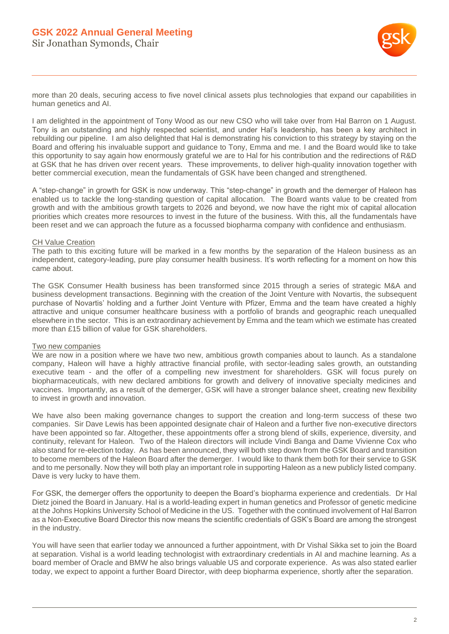

more than 20 deals, securing access to five novel clinical assets plus technologies that expand our capabilities in human genetics and AI.

I am delighted in the appointment of Tony Wood as our new CSO who will take over from Hal Barron on 1 August. Tony is an outstanding and highly respected scientist, and under Hal's leadership, has been a key architect in rebuilding our pipeline. I am also delighted that Hal is demonstrating his conviction to this strategy by staying on the Board and offering his invaluable support and guidance to Tony, Emma and me. I and the Board would like to take this opportunity to say again how enormously grateful we are to Hal for his contribution and the redirections of R&D at GSK that he has driven over recent years. These improvements, to deliver high-quality innovation together with better commercial execution, mean the fundamentals of GSK have been changed and strengthened.

A "step-change" in growth for GSK is now underway. This "step-change" in growth and the demerger of Haleon has enabled us to tackle the long-standing question of capital allocation. The Board wants value to be created from growth and with the ambitious growth targets to 2026 and beyond, we now have the right mix of capital allocation priorities which creates more resources to invest in the future of the business. With this, all the fundamentals have been reset and we can approach the future as a focussed biopharma company with confidence and enthusiasm.

### CH Value Creation

The path to this exciting future will be marked in a few months by the separation of the Haleon business as an independent, category-leading, pure play consumer health business. It's worth reflecting for a moment on how this came about.

The GSK Consumer Health business has been transformed since 2015 through a series of strategic M&A and business development transactions. Beginning with the creation of the Joint Venture with Novartis, the subsequent purchase of Novartis' holding and a further Joint Venture with Pfizer, Emma and the team have created a highly attractive and unique consumer healthcare business with a portfolio of brands and geographic reach unequalled elsewhere in the sector. This is an extraordinary achievement by Emma and the team which we estimate has created more than £15 billion of value for GSK shareholders.

#### Two new companies

We are now in a position where we have two new, ambitious growth companies about to launch. As a standalone company, Haleon will have a highly attractive financial profile, with sector-leading sales growth, an outstanding executive team - and the offer of a compelling new investment for shareholders. GSK will focus purely on biopharmaceuticals, with new declared ambitions for growth and delivery of innovative specialty medicines and vaccines. Importantly, as a result of the demerger, GSK will have a stronger balance sheet, creating new flexibility to invest in growth and innovation.

We have also been making governance changes to support the creation and long-term success of these two companies. Sir Dave Lewis has been appointed designate chair of Haleon and a further five non-executive directors have been appointed so far. Altogether, these appointments offer a strong blend of skills, experience, diversity, and continuity, relevant for Haleon. Two of the Haleon directors will include Vindi Banga and Dame Vivienne Cox who also stand for re-election today. As has been announced, they will both step down from the GSK Board and transition to become members of the Haleon Board after the demerger. I would like to thank them both for their service to GSK and to me personally. Now they will both play an important role in supporting Haleon as a new publicly listed company. Dave is very lucky to have them.

For GSK, the demerger offers the opportunity to deepen the Board's biopharma experience and credentials. Dr Hal Dietz joined the Board in January. Hal is a world-leading expert in human genetics and Professor of genetic medicine at the Johns Hopkins University School of Medicine in the US. Together with the continued involvement of Hal Barron as a Non-Executive Board Director this now means the scientific credentials of GSK's Board are among the strongest in the industry.

You will have seen that earlier today we announced a further appointment, with Dr Vishal Sikka set to join the Board at separation. Vishal is a world leading technologist with extraordinary credentials in AI and machine learning. As a board member of Oracle and BMW he also brings valuable US and corporate experience. As was also stated earlier today, we expect to appoint a further Board Director, with deep biopharma experience, shortly after the separation.